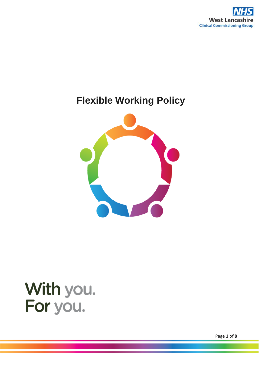

# **Flexible Working Policy**



# With you.<br>For you.

Page **1** of **8**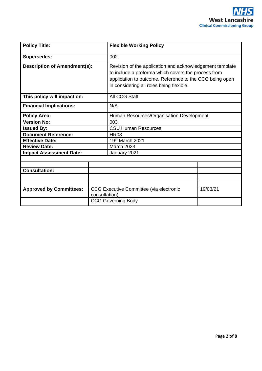| <b>Policy Title:</b>                |                                                                      | <b>Flexible Working Policy</b>                                                                                                                                                                                         |  |  |
|-------------------------------------|----------------------------------------------------------------------|------------------------------------------------------------------------------------------------------------------------------------------------------------------------------------------------------------------------|--|--|
| <b>Supersedes:</b>                  |                                                                      | 002                                                                                                                                                                                                                    |  |  |
| <b>Description of Amendment(s):</b> |                                                                      | Revision of the application and acknowledgement template<br>to include a proforma which covers the process from<br>application to outcome. Reference to the CCG being open<br>in considering all roles being flexible. |  |  |
| This policy will impact on:         |                                                                      | All CCG Staff                                                                                                                                                                                                          |  |  |
| <b>Financial Implications:</b>      |                                                                      | N/A                                                                                                                                                                                                                    |  |  |
| <b>Policy Area:</b>                 |                                                                      | Human Resources/Organisation Development                                                                                                                                                                               |  |  |
| <b>Version No:</b>                  |                                                                      | 003                                                                                                                                                                                                                    |  |  |
| <b>Issued By:</b>                   |                                                                      | <b>CSU Human Resources</b>                                                                                                                                                                                             |  |  |
| <b>Document Reference:</b>          |                                                                      | <b>HR08</b>                                                                                                                                                                                                            |  |  |
| <b>Effective Date:</b>              |                                                                      | 19th March 2021                                                                                                                                                                                                        |  |  |
| <b>Review Date:</b>                 |                                                                      | March 2023                                                                                                                                                                                                             |  |  |
| <b>Impact Assessment Date:</b>      |                                                                      | January 2021                                                                                                                                                                                                           |  |  |
|                                     |                                                                      |                                                                                                                                                                                                                        |  |  |
|                                     |                                                                      |                                                                                                                                                                                                                        |  |  |
| <b>Consultation:</b>                |                                                                      |                                                                                                                                                                                                                        |  |  |
|                                     |                                                                      |                                                                                                                                                                                                                        |  |  |
|                                     |                                                                      |                                                                                                                                                                                                                        |  |  |
| <b>Approved by Committees:</b>      | CCG Executive Committee (via electronic<br>19/03/21<br>consultation) |                                                                                                                                                                                                                        |  |  |
|                                     | <b>CCG Governing Body</b>                                            |                                                                                                                                                                                                                        |  |  |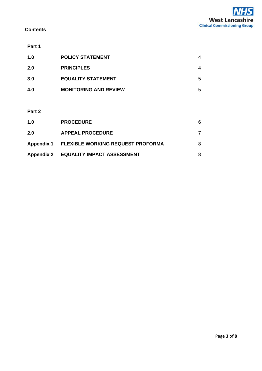#### **Contents**

#### **Part 1**

| 1.0 | <b>POLICY STATEMENT</b>      | 4 |
|-----|------------------------------|---|
| 2.0 | <b>PRINCIPLES</b>            | 4 |
| 3.0 | <b>EQUALITY STATEMENT</b>    | 5 |
| 4.0 | <b>MONITORING AND REVIEW</b> | 5 |
|     |                              |   |

#### **Part 2**

| 1.0 | <b>PROCEDURE</b>                             | 6 |
|-----|----------------------------------------------|---|
| 2.0 | <b>APPEAL PROCEDURE</b>                      |   |
|     | Appendix 1 FLEXIBLE WORKING REQUEST PROFORMA | 8 |
|     | Appendix 2 EQUALITY IMPACT ASSESSMENT        | 8 |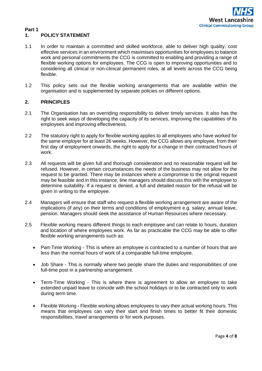

#### **Part 1 1. POLICY STATEMENT**

- 1.1 In order to maintain a committed and skilled workforce, able to deliver high quality, cost effective services in an environment which maximises opportunities for employees to balance work and personal commitments the CCG is committed to enabling and providing a range of flexible working options for employees. The CCG is open to improving opportunities and to considering all clinical or non-clinical permanent roles, at all levels across the CCG being flexible.
- 1.2 This policy sets out the flexible working arrangements that are available within the organisation and is supplemented by separate policies on different options.

#### **2. PRINCIPLES**

- 2.1 The Organisation has an overriding responsibility to deliver timely services. It also has the right to seek ways of developing the capacity of its services, improving the capabilities of its employees and improving effectiveness.
- 2.2 The statutory right to apply for flexible working applies to all employees who have worked for the same employer for at least 26 weeks. However, the CCG allows any employee, from their first day of employment onwards, the right to apply for a change in their contracted hours of work.
- 2.3 All requests will be given full and thorough consideration and no reasonable request will be refused. However, in certain circumstances the needs of the business may not allow for the request to be granted. There may be instances where a compromise to the original request may be feasible and in this instance, line managers should discuss this with the employee to determine suitability. If a request is denied, a full and detailed reason for the refusal will be given in writing to the employee.
- 2.4 Managers will ensure that staff who request a flexible working arrangement are aware of the implications (if any) on their terms and conditions of employment e.g. salary, annual leave, pension. Managers should seek the assistance of Human Resources where necessary.
- 2.5 Flexible working means different things to each employee and can relate to hours, duration and location of where employees work. As far as practicable the CCG may be able to offer flexible working arrangements such as:
	- Part-Time Working This is where an employee is contracted to a number of hours that are less than the normal hours of work of a comparable full-time employee.
	- Job Share This is normally where two people share the duties and responsibilities of one full-time post in a partnership arrangement.
	- Term-Time Working This is where there is agreement to allow an employee to take extended unpaid leave to coincide with the school holidays or to be contracted only to work during term time.
	- Flexible Working Flexible working allows employees to vary their actual working hours. This means that employees can vary their start and finish times to better fit their domestic responsibilities, travel arrangements or for work purposes.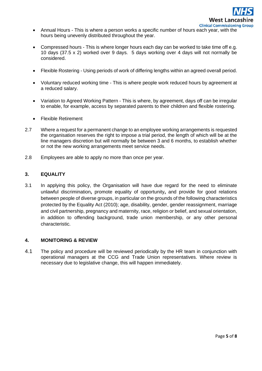

- Annual Hours This is where a person works a specific number of hours each year, with the hours being unevenly distributed throughout the year.
- Compressed hours This is where longer hours each day can be worked to take time off e.g. 10 days (37.5 x 2) worked over 9 days. 5 days working over 4 days will not normally be considered.
- Flexible Rostering Using periods of work of differing lengths within an agreed overall period.
- Voluntary reduced working time This is where people work reduced hours by agreement at a reduced salary.
- Variation to Agreed Working Pattern This is where, by agreement, days off can be irregular to enable, for example, access by separated parents to their children and flexible rostering.
- Flexible Retirement
- 2.7 Where a request for a permanent change to an employee working arrangements is requested the organisation reserves the right to impose a trial period, the length of which will be at the line managers discretion but will normally be between 3 and 6 months, to establish whether or not the new working arrangements meet service needs.
- 2.8 Employees are able to apply no more than once per year.

#### **3. EQUALITY**

3.1 In applying this policy, the Organisation will have due regard for the need to eliminate unlawful discrimination**,** promote equality of opportunity**,** and provide for good relations between people of diverse groups, in particular on the grounds of the following characteristics protected by the Equality Act (2010); age, disability, gender, gender reassignment, marriage and civil partnership, pregnancy and maternity, race, religion or belief, and sexual orientation, in addition to offending background, trade union membership, or any other personal characteristic.

#### **4. MONITORING & REVIEW**

4.1 The policy and procedure will be reviewed periodically by the HR team in conjunction with operational managers at the CCG and Trade Union representatives. Where review is necessary due to legislative change, this will happen immediately.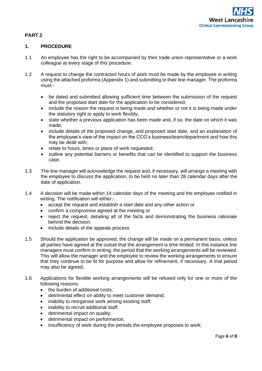### **PART 2**

#### **1. PROCEDURE**

- 1.1 An employee has the right to be accompanied by their trade union representative or a work colleague at every stage of this procedure.
- 1.2 A request to change the contracted hours of work must be made by the employee in writing using the attached proforma (Appendix 1) and submitting to their line manager. The proforma must:-
	- be dated and submitted allowing sufficient time between the submission of the request and the proposed start date for the application to be considered;
	- include the reason the request is being made and whether or not it is being made under the statutory right to apply to work flexibly;
	- state whether a previous application has been made and, if so, the date on which it was made;
	- include details of the proposed change, and proposed start date, and an explanation of the employee's view of the impact on the CCG's business/team/department and how this may be dealt with;
	- relate to hours, times or place of work requested;
	- outline any potential barriers or benefits that can be identified to support the business case.
- 1.3 The line manager will acknowledge the request and, if necessary, will arrange a meeting with the employee to discuss the application, to be held no later than 28 calendar days after the date of application.
- 1.4 A decision will be made within 14 calendar days of the meeting and the employee notified in writing. The notification will either:-
	- accept the request and establish a start date and any other action or
	- confirm a compromise agreed at the meeting or
	- reject the request, detailing all of the facts and demonstrating the business rationale behind the decision.
	- Include details of the appeals process
- 1.5 Should the application be approved, the change will be made on a permanent basis, unless all parties have agreed at the outset that the arrangement is time limited. In this instance line managers must confirm in writing, the period that the working arrangements will be reviewed. This will allow the manager and the employee to review the working arrangements to ensure that they continue to be fit for purpose and allow for refinement, if necessary. A trial period may also be agreed.
- 1.6 Applications for flexible working arrangements will be refused only for one or more of the following reasons:
	- the burden of additional costs;
	- detrimental effect on ability to meet customer demand;
	- inability to reorganise work among existing staff;
	- inability to recruit additional staff;
	- detrimental impact on quality;
	- detrimental impact on performance;
	- insufficiency of work during the periods the employee proposes to work;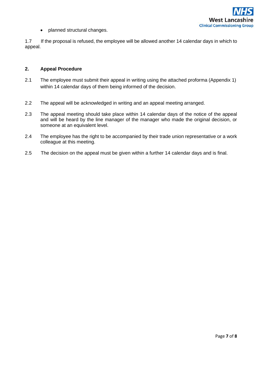

• planned structural changes.

1.7 If the proposal is refused, the employee will be allowed another 14 calendar days in which to appeal.

#### **2. Appeal Procedure**

- 2.1 The employee must submit their appeal in writing using the attached proforma (Appendix 1) within 14 calendar days of them being informed of the decision.
- 2.2 The appeal will be acknowledged in writing and an appeal meeting arranged.
- 2.3 The appeal meeting should take place within 14 calendar days of the notice of the appeal and will be heard by the line manager of the manager who made the original decision, or someone at an equivalent level.
- 2.4 The employee has the right to be accompanied by their trade union representative or a work colleague at this meeting.
- 2.5 The decision on the appeal must be given within a further 14 calendar days and is final.